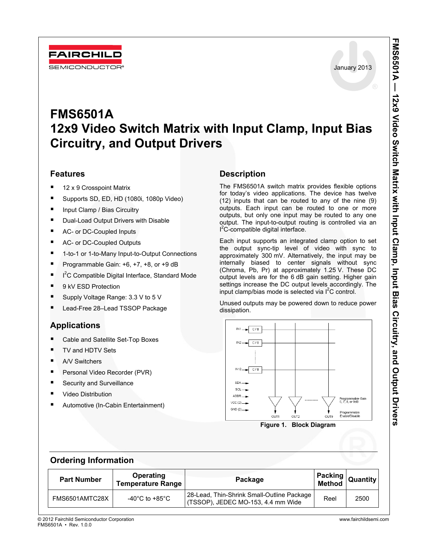

# **FMS6501A 12x9 Video Switch Matrix with Input Clamp, Input Bias Circuitry, and Output Drivers**

### **Features**

- 12 x 9 Crosspoint Matrix
- Supports SD, ED, HD (1080i, 1080p Video)
- Input Clamp / Bias Circuitry
- **Dual-Load Output Drivers with Disable**
- AC- or DC-Coupled Inputs
- AC- or DC-Coupled Outputs
- 1-to-1 or 1-to-Many Input-to-Output Connections
- Programmable Gain: +6, +7, +8, or +9 dB
- $I^2C$  Compatible Digital Interface, Standard Mode
- 9 kV ESD Protection
- Supply Voltage Range: 3.3 V to 5 V
- Lead-Free 28–Lead TSSOP Package

### **Applications**

- Cable and Satellite Set-Top Boxes
- TV and HDTV Sets
- A/V Switchers
- Personal Video Recorder (PVR)
- **Security and Surveillance**
- Video Distribution
- Automotive (In-Cabin Entertainment)

### **Description**

The FMS6501A switch matrix provides flexible options for today's video applications. The device has twelve (12) inputs that can be routed to any of the nine (9) outputs. Each input can be routed to one or more outputs, but only one input may be routed to any one output. The input-to-output routing is controlled via an l<sup>2</sup>C-compatible digital interface.

Each input supports an integrated clamp option to set the output sync-tip level of video with sync to approximately 300 mV. Alternatively, the input may be internally biased to center signals without sync (Chroma, Pb, Pr) at approximately 1.25 V. These DC output levels are for the 6 dB gain setting. Higher gain settings increase the DC output levels accordingly. The input clamp/bias mode is selected via  $I^2C$  control.

Unused outputs may be powered down to reduce power dissipation.



**Figure 1. Block Diagram** 

### **Ordering Information**

| <b>Part Number</b> | Operating<br><b>Temperature Range</b> | Package                                                                          |      | Packing  <br>  Method   Quantity |
|--------------------|---------------------------------------|----------------------------------------------------------------------------------|------|----------------------------------|
| FMS6501AMTC28X     | -40 $^{\circ}$ C to +85 $^{\circ}$ C  | 28-Lead, Thin-Shrink Small-Outline Package<br>(TSSOP), JEDEC MO-153, 4.4 mm Wide | Reel | 2500                             |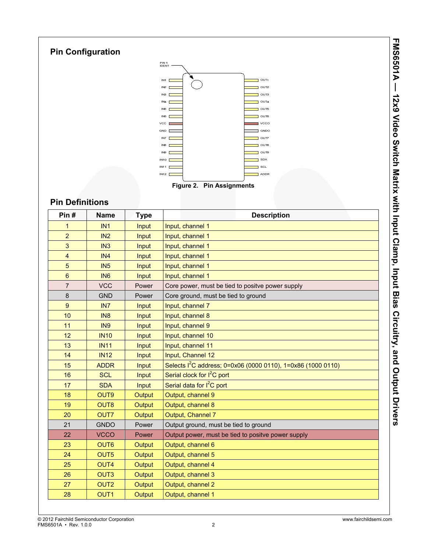



## **Pin Definitions**

**Pin Configuration** 

| Pin#           | <b>Name</b>      | <b>Type</b> | <b>Description</b>                                                       |
|----------------|------------------|-------------|--------------------------------------------------------------------------|
| 1              | IN1              | Input       | Input, channel 1                                                         |
| $\overline{c}$ | IN2              | Input       | Input, channel 1                                                         |
| 3              | IN <sub>3</sub>  | Input       | Input, channel 1                                                         |
| 4              | IN <sub>4</sub>  | Input       | Input, channel 1                                                         |
| 5              | IN5              | Input       | Input, channel 1                                                         |
| 6              | IN <sub>6</sub>  | Input       | Input, channel 1                                                         |
| $\overline{7}$ | <b>VCC</b>       | Power       | Core power, must be tied to positve power supply                         |
| 8              | <b>GND</b>       | Power       | Core ground, must be tied to ground                                      |
| 9              | IN <sub>7</sub>  | Input       | Input, channel 7                                                         |
| 10             | IN <sub>8</sub>  | Input       | Input, channel 8                                                         |
| 11             | IN <sub>9</sub>  | Input       | Input, channel 9                                                         |
| 12             | <b>IN10</b>      | Input       | Input, channel 10                                                        |
| 13             | <b>IN11</b>      | Input       | Input, channel 11                                                        |
| 14             | <b>IN12</b>      | Input       | Input, Channel 12                                                        |
| 15             | <b>ADDR</b>      | Input       | Selects I <sup>2</sup> C address; 0=0x06 (0000 0110), 1=0x86 (1000 0110) |
| 16             | <b>SCL</b>       | Input       | Serial clock for $I^2C$ port                                             |
| 17             | <b>SDA</b>       | Input       | Serial data for I <sup>2</sup> C port                                    |
| 18             | OUT9             | Output      | Output, channel 9                                                        |
| 19             | OUT8             | Output      | Output, channel 8                                                        |
| 20             | <b>OUT7</b>      | Output      | Output, Channel 7                                                        |
| 21             | <b>GNDO</b>      | Power       | Output ground, must be tied to ground                                    |
| 22             | <b>VCCO</b>      | Power       | Output power, must be tied to positve power supply                       |
| 23             | OUT6             | Output      | Output, channel 6                                                        |
| 24             | OUT5             | Output      | Output, channel 5                                                        |
| 25             | OUT4             | Output      | Output, channel 4                                                        |
| 26             | OUT <sub>3</sub> | Output      | Output, channel 3                                                        |
| 27             | OUT <sub>2</sub> | Output      | Output, channel 2                                                        |
| 28             | OUT <sub>1</sub> | Output      | Output, channel 1                                                        |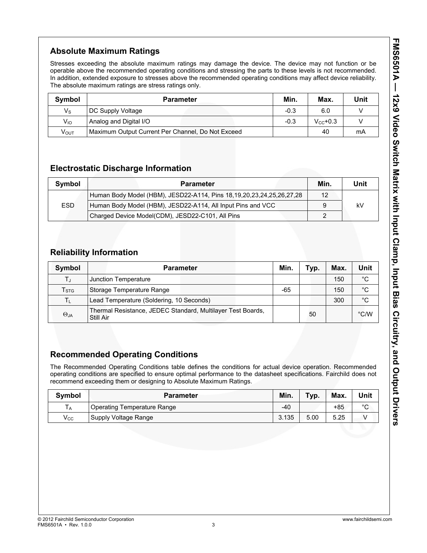## **Absolute Maximum Ratings**

Stresses exceeding the absolute maximum ratings may damage the device. The device may not function or be operable above the recommended operating conditions and stressing the parts to these levels is not recommended. In addition, extended exposure to stresses above the recommended operating conditions may affect device reliability. The absolute maximum ratings are stress ratings only.

| Symbol           | <b>Parameter</b>                                  | Min.   | Max.          | Unit |
|------------------|---------------------------------------------------|--------|---------------|------|
| $V_{\rm S}$      | DC Supply Voltage                                 | $-0.3$ | 6.0           |      |
| $V_{IO}$         | Analog and Digital I/O                            | $-0.3$ | $V_{cc}$ +0.3 |      |
| V <sub>ουτ</sub> | Maximum Output Current Per Channel, Do Not Exceed |        | 40            | mA   |

### **Electrostatic Discharge Information**

| Symbol     | <b>Parameter</b>                                                             | Min. | Unit |
|------------|------------------------------------------------------------------------------|------|------|
|            | Human Body Model (HBM), JESD22-A114, Pins 18, 19, 20, 23, 24, 25, 26, 27, 28 | 12   |      |
| <b>ESD</b> | Human Body Model (HBM), JESD22-A114, All Input Pins and VCC                  |      | kV   |
|            | Charged Device Model(CDM), JESD22-C101, All Pins                             |      |      |

### **Reliability Information**

| Symbol                    | <b>Parameter</b>                                                         | Min. | Typ. | Max. | Unit          |
|---------------------------|--------------------------------------------------------------------------|------|------|------|---------------|
| ΤJ                        | Junction Temperature                                                     |      |      | 150  | °C            |
| $\mathsf{T}_{\text{STG}}$ | Storage Temperature Range                                                | -65  |      | 150  | $^{\circ}C$   |
| Τī                        | Lead Temperature (Soldering, 10 Seconds)                                 |      |      | 300  | $^{\circ}C$   |
| $\Theta_{JA}$             | Thermal Resistance, JEDEC Standard, Multilayer Test Boards,<br>Still Air |      | 50   |      | $\degree$ C/W |

### **Recommended Operating Conditions**

The Recommended Operating Conditions table defines the conditions for actual device operation. Recommended operating conditions are specified to ensure optimal performance to the datasheet specifications. Fairchild does not recommend exceeding them or designing to Absolute Maximum Ratings.

| Symbol            | <b>Parameter</b>            | Min.  | Typ. | Max.  | Unit    |
|-------------------|-----------------------------|-------|------|-------|---------|
| l A               | Operating Temperature Range | $-40$ |      | $+85$ | $\circ$ |
| $\mathsf{V_{CC}}$ | Supply Voltage Range        | 3.135 | 5.00 | 5.25  |         |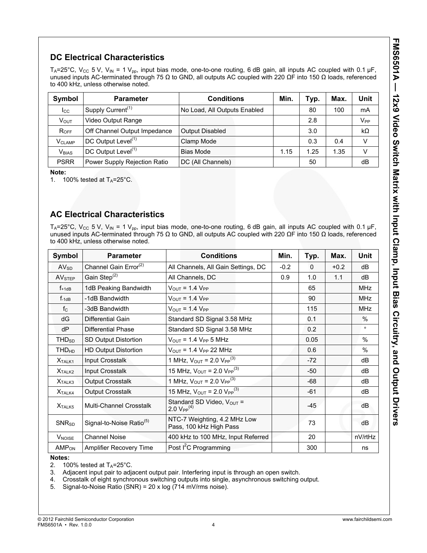## **DC Electrical Characteristics**

T<sub>A</sub>=25°C, V<sub>CC</sub> 5 V, V<sub>IN</sub> = 1 V<sub>pp</sub>, input bias mode, one-to-one routing, 6 dB gain, all inputs AC coupled with 0.1 µF, unused inputs AC-terminated through 75 Ω to GND, all outputs AC coupled with 220  $\Omega$ F into 150  $\Omega$  loads, referenced to 400 kHz, unless otherwise noted.

| Symbol                   | <b>Parameter</b>               | <b>Conditions</b>            | Min. | Typ. | Max. | Unit              |
|--------------------------|--------------------------------|------------------------------|------|------|------|-------------------|
| $_{\rm lcc}$             | Supply Current <sup>(1)</sup>  | No Load, All Outputs Enabled |      | 80   | 100  | mA                |
| V <sub>ouт</sub>         | Video Output Range             |                              |      | 2.8  |      | $V_{\mathsf{PP}}$ |
| $R_{OFF}$                | Off Channel Output Impedance   | <b>Output Disabled</b>       |      | 3.0  |      | $k\Omega$         |
| <b>V<sub>CLAMP</sub></b> | DC Output Level <sup>(1)</sup> | Clamp Mode                   |      | 0.3  | 0.4  | v                 |
| <b>V</b> BIAS            | DC Output Level <sup>(1)</sup> | Bias Mode                    | 1.15 | 1.25 | 1.35 | $\vee$            |
| <b>PSRR</b>              | Power Supply Rejection Ratio   | DC (All Channels)            |      | 50   |      | dB                |

**Note:** 

1. 100% tested at  $T_A = 25^\circ \text{C}$ .

### **AC Electrical Characteristics**

T<sub>A</sub>=25°C, V<sub>CC</sub> 5 V, V<sub>IN</sub> = 1 V<sub>pp</sub>, input bias mode, one-to-one routing, 6 dB gain, all inputs AC coupled with 0.1 µF, unused inputs AC-terminated through 75 Ω to GND, all outputs AC coupled with 220 ΩF into 150 Ω loads, referenced to 400 kHz, unless otherwise noted.

| <b>Symbol</b>           | <b>Parameter</b>                     | <b>Conditions</b>                                       | Min.   | Typ.     | Max.   | Unit       |
|-------------------------|--------------------------------------|---------------------------------------------------------|--------|----------|--------|------------|
| AV <sub>SD</sub>        | Channel Gain Error <sup>(2)</sup>    | All Channels, All Gain Settings, DC                     | $-0.2$ | $\Omega$ | $+0.2$ | dB         |
| AV <sub>STEP</sub>      | Gain Step <sup>(2)</sup>             | All Channels, DC                                        | 0.9    | 1.0      | 1.1    | dB         |
| $f_{+1dB}$              | 1dB Peaking Bandwidth                | $V_{\text{OUT}}$ = 1.4 $V_{\text{PP}}$                  |        | 65       |        | <b>MHz</b> |
| $f_{-1dB}$              | -1dB Bandwidth                       | $V_{\text{OUT}} = 1.4 V_{\text{PP}}$                    |        | 90       |        | <b>MHz</b> |
| $f_{C}$                 | -3dB Bandwidth                       | $V_{\text{OUT}}$ = 1.4 $V_{\text{PP}}$                  |        | 115      |        | <b>MHz</b> |
| dG                      | Differential Gain                    | Standard SD Signal 3.58 MHz                             |        | 0.1      |        | $\%$       |
| dP                      | Differential Phase                   | Standard SD Signal 3.58 MHz                             |        | 0.2      |        | $\circ$    |
| THD <sub>SD</sub>       | SD Output Distortion                 | $V_{OUT}$ = 1.4 $V_{PP}$ 5 MHz                          |        | 0.05     |        | $\%$       |
| <b>THD<sub>HD</sub></b> | <b>HD Output Distortion</b>          | $V_{OUT} = 1.4 V_{PP} 22 MHz$                           |        | 0.6      |        | $\%$       |
| X <sub>TALK1</sub>      | Input Crosstalk                      | 1 MHz, $V_{\text{OUT}} = 2.0 V_{\text{PP}}^{(3)}$       |        | $-72$    |        | dB         |
| X <sub>TALK2</sub>      | Input Crosstalk                      | 15 MHz, $V_{OUT}$ = 2.0 $V_{PP}^{(3)}$                  |        | $-50$    |        | dB         |
| X <sub>TALK3</sub>      | <b>Output Crosstalk</b>              | 1 MHz, $V_{OUT}$ = 2.0 $V_{PP}^{(3)}$                   |        | -68      |        | dВ         |
| X <sub>TALK4</sub>      | <b>Output Crosstalk</b>              | 15 MHz, $V_{OUT}$ = 2.0 $V_{PP}^{(3)}$                  |        | $-61$    |        | dВ         |
| X <sub>TALK5</sub>      | Multi-Channel Crosstalk              | Standard SD Video, Vout =<br>2.0 $V_{PP}^{(4)}$         |        | $-45$    |        | dB         |
| $SNR_{SD}$              | Signal-to-Noise Ratio <sup>(5)</sup> | NTC-7 Weighting, 4.2 MHz Low<br>Pass, 100 kHz High Pass |        | 73       |        | dB         |
| V <sub>NOISE</sub>      | <b>Channel Noise</b>                 | 400 kHz to 100 MHz, Input Referred                      |        | 20       |        | nV/rtHz    |
| AMP <sub>ON</sub>       | Amplifier Recovery Time              | Post I <sup>2</sup> C Programming                       |        | 300      |        | ns         |

#### **Notes:**

2. 100% tested at  $T_A = 25^\circ \text{C}$ .<br>3. Adiacent input pair to adia

5. Signal-to-Noise Ratio (SNR) = 20 x log (714 mV/rms noise).

Adjacent input pair to adjacent output pair. Interfering input is through an open switch.

<sup>4.</sup> Crosstalk of eight synchronous switching outputs into single, asynchronous switching output.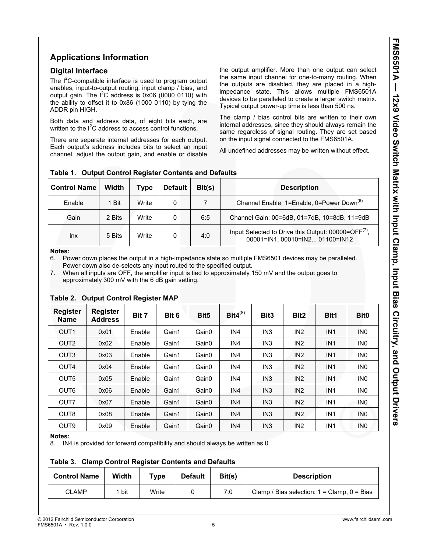### **Applications Information**

#### **Digital Interface**

The  $I^2C$ -compatible interface is used to program output enables, input-to-output routing, input clamp / bias, and output gain. The  $I^2C$  address is 0x06 (0000 0110) with the ability to offset it to 0x86 (1000 0110) by tying the ADDR pin HIGH.

Both data and address data, of eight bits each, are written to the  $I^2C$  address to access control functions.

There are separate internal addresses for each output. Each output's address includes bits to select an input channel, adjust the output gain, and enable or disable the output amplifier. More than one output can select the same input channel for one-to-many routing. When the outputs are disabled, they are placed in a highimpedance state. This allows multiple FMS6501A devices to be paralleled to create a larger switch matrix. Typical output power-up time is less than 500 ns.

The clamp / bias control bits are written to their own internal addresses, since they should always remain the same regardless of signal routing. They are set based on the input signal connected to the FMS6501A.

All undefined addresses may be written without effect.

| <b>Control Name</b> | Width  | Type  | <b>Default</b> | Bit(s) | <b>Description</b>                                                                                 |
|---------------------|--------|-------|----------------|--------|----------------------------------------------------------------------------------------------------|
| Enable              | 1 Bit  | Write | 0              |        | Channel Enable: 1=Enable, 0=Power Down <sup>(6)</sup>                                              |
| Gain                | 2 Bits | Write | 0              | 6:5    | Channel Gain: 00=6dB, 01=7dB, 10=8dB, 11=9dB                                                       |
| <b>Inx</b>          | 5 Bits | Write |                | 4:0    | Input Selected to Drive this Output: 00000=OFF <sup>(7)</sup> ,<br>00001=IN1, 00010=IN2 01100=IN12 |

#### **Table 1. Output Control Register Contents and Defaults**

#### **Notes:**

6. Power down places the output in a high-impedance state so multiple FMS6501 devices may be paralleled. Power down also de-selects any input routed to the specified output.

7. When all inputs are OFF, the amplifier input is tied to approximately 150 mV and the output goes to approximately 300 mV with the 6 dB gain setting.

| <b>Register</b><br><b>Name</b> | <b>Register</b><br><b>Address</b> | Bit 7  | Bit 6 | Bit <sub>5</sub>  | $Bit4^{(8)}$    | Bit <sub>3</sub> | Bit <sub>2</sub> | Bit1            | Bit <sub>0</sub> |
|--------------------------------|-----------------------------------|--------|-------|-------------------|-----------------|------------------|------------------|-----------------|------------------|
| OUT <sub>1</sub>               | 0x01                              | Enable | Gain1 | Gain0             | IN4             | IN <sub>3</sub>  | IN <sub>2</sub>  | IN <sub>1</sub> | IN <sub>0</sub>  |
| OUT <sub>2</sub>               | 0x02                              | Enable | Gain1 | Gain0             | IN <sub>4</sub> | IN <sub>3</sub>  | IN <sub>2</sub>  | IN <sub>1</sub> | IN <sub>0</sub>  |
| OUT <sub>3</sub>               | 0x03                              | Enable | Gain1 | Gain0             | IN4             | IN <sub>3</sub>  | IN <sub>2</sub>  | IN <sub>1</sub> | IN <sub>0</sub>  |
| OUT <sub>4</sub>               | 0x04                              | Enable | Gain1 | Gain0             | IN4             | IN <sub>3</sub>  | IN <sub>2</sub>  | IN <sub>1</sub> | IN <sub>0</sub>  |
| OUT <sub>5</sub>               | 0x05                              | Enable | Gain1 | Gain0             | IN4             | IN <sub>3</sub>  | IN <sub>2</sub>  | IN <sub>1</sub> | IN <sub>0</sub>  |
| OUT <sub>6</sub>               | 0x06                              | Enable | Gain1 | Gain0             | IN <sub>4</sub> | IN <sub>3</sub>  | IN <sub>2</sub>  | IN <sub>1</sub> | IN <sub>0</sub>  |
| OUT7                           | 0x07                              | Enable | Gain1 | Gain0             | IN4             | IN <sub>3</sub>  | IN <sub>2</sub>  | IN <sub>1</sub> | IN <sub>0</sub>  |
| OUT <sub>8</sub>               | 0x08                              | Enable | Gain1 | Gain <sub>0</sub> | IN4             | IN <sub>3</sub>  | IN <sub>2</sub>  | IN <sub>1</sub> | IN <sub>0</sub>  |
| OUT <sub>9</sub>               | 0x09                              | Enable | Gain1 | Gain0             | IN4             | IN <sub>3</sub>  | IN <sub>2</sub>  | IN <sub>1</sub> | <b>INO</b>       |

#### **Table 2. Output Control Register MAP**

**Notes:** 

8. IN4 is provided for forward compatibility and should always be written as 0.

#### **Table 3. Clamp Control Register Contents and Defaults**

| <b>Control Name</b> | Width | туре  | <b>Default</b> | Bit(s) | <b>Description</b>                              |
|---------------------|-------|-------|----------------|--------|-------------------------------------------------|
| <b>CLAMP</b>        | bit   | Write |                | 7:0    | Clamp / Bias selection: $1 =$ Clamp, $0 =$ Bias |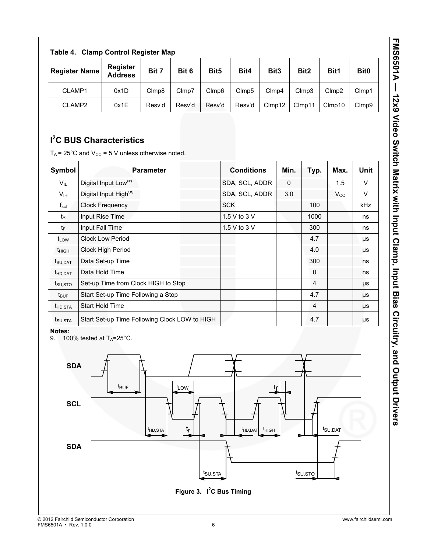| Į<br>s<br>C<br>C      |
|-----------------------|
| .<br>.<br>.<br>ı      |
|                       |
| d<br>Signal<br>Signal |
| $\ddot{ }$<br>:<br>(  |
| <b>VALLATING</b>      |

| <b>Clamp Control Register Map</b><br>Table 4. |                                   |        |        |                  |                   |                  |                  |        |                   |
|-----------------------------------------------|-----------------------------------|--------|--------|------------------|-------------------|------------------|------------------|--------|-------------------|
| <b>Register Name</b>                          | <b>Register</b><br><b>Address</b> | Bit 7  | Bit 6  | Bit <sub>5</sub> | Bit4              | Bit <sub>3</sub> | Bit <sub>2</sub> | Bit1   | Bit <sub>0</sub>  |
| CLAMP1                                        | 0x1D                              | Clmp8  | Clmp7  | Clmp6            | Clmp <sub>5</sub> | Clmp4            | Clmp3            | Clmp2  | Clmp1             |
| CLAMP2                                        | 0x1E                              | Resv'd | Resv'd | Resv'd           | Resv'd            | Clmp12           | Clmp11           | Clmp10 | Clmp <sub>9</sub> |

## **I 2 C BUS Characteristics**

 $T_A$  = 25°C and V<sub>CC</sub> = 5 V unless otherwise noted.

| Symbol              | <b>Parameter</b>                              | <b>Conditions</b> | Min.         | Typ.         | Max.         | <b>Unit</b> |
|---------------------|-----------------------------------------------|-------------------|--------------|--------------|--------------|-------------|
| $V_{IL}$            | Digital Input Low <sup>(9)</sup>              | SDA, SCL, ADDR    | $\mathbf{0}$ |              | 1.5          | V           |
| V <sub>IH</sub>     | Digital Input High <sup>(9)</sup>             | SDA, SCL, ADDR    | 3.0          |              | $V_{\rm CC}$ | V           |
| $f_{\rm scl}$       | <b>Clock Frequency</b>                        | <b>SCK</b>        |              | 100          |              | <b>kHz</b>  |
| t <sub>R</sub>      | Input Rise Time                               | 1.5 V to 3 V      |              | 1000         |              | ns          |
| tF                  | Input Fall Time                               | 1.5 V to 3 V      |              | 300          |              | ns          |
| t <sub>LOW</sub>    | <b>Clock Low Period</b>                       |                   |              | 4.7          |              | μs          |
| $t_{HIGH}$          | Clock High Period                             |                   |              | 4.0          |              | μs          |
| t <sub>SU,DAT</sub> | Data Set-up Time                              |                   |              | 300          |              | ns          |
| t <sub>HD.DAT</sub> | Data Hold Time                                |                   |              | $\mathbf{0}$ |              | ns          |
| $t_{\text{SU,STO}}$ | Set-up Time from Clock HIGH to Stop           |                   |              | 4            |              | μs          |
| $t_{\text{BUF}}$    | Start Set-up Time Following a Stop            |                   |              | 4.7          |              | μs          |
| t <sub>HD.STA</sub> | <b>Start Hold Time</b>                        |                   |              | 4            |              | μs          |
| t <sub>su,sta</sub> | Start Set-up Time Following Clock LOW to HIGH |                   |              | 4.7          |              | μs          |

#### **Notes:**

9. 100% tested at  $T_A = 25^\circ \text{C}$ .

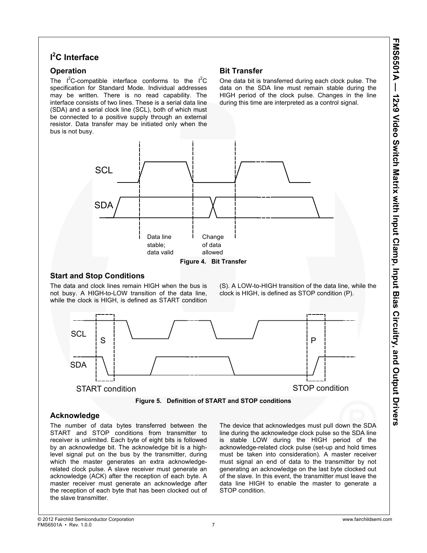### **I 2 C Interface**

### **Operation**

The  $I^2C$ -compatible interface conforms to the  $I^2C$ specification for Standard Mode. Individual addresses may be written. There is no read capability. The interface consists of two lines. These is a serial data line (SDA) and a serial clock line (SCL), both of which must be connected to a positive supply through an external resistor. Data transfer may be initiated only when the bus is not busy.

### **Bit Transfer**

One data bit is transferred during each clock pulse. The data on the SDA line must remain stable during the HIGH period of the clock pulse. Changes in the line during this time are interpreted as a control signal.



### **Start and Stop Conditions**

The data and clock lines remain HIGH when the bus is not busy. A HIGH-to-LOW transition of the data line, while the clock is HIGH, is defined as START condition

(S). A LOW-to-HIGH transition of the data line, while the clock is HIGH, is defined as STOP condition (P).



**Figure 5. Definition of START and STOP conditions** 

### **Acknowledge**

The number of data bytes transferred between the START and STOP conditions from transmitter to receiver is unlimited. Each byte of eight bits is followed by an acknowledge bit. The acknowledge bit is a highlevel signal put on the bus by the transmitter, during which the master generates an extra acknowledgerelated clock pulse. A slave receiver must generate an acknowledge (ACK) after the reception of each byte. A master receiver must generate an acknowledge after the reception of each byte that has been clocked out of the slave transmitter.

The device that acknowledges must pull down the SDA line during the acknowledge clock pulse so the SDA line is stable LOW during the HIGH period of the acknowledge-related clock pulse (set-up and hold times must be taken into consideration). A master receiver must signal an end of data to the transmitter by not generating an acknowledge on the last byte clocked out of the slave. In this event, the transmitter must leave the data line HIGH to enable the master to generate a STOP condition.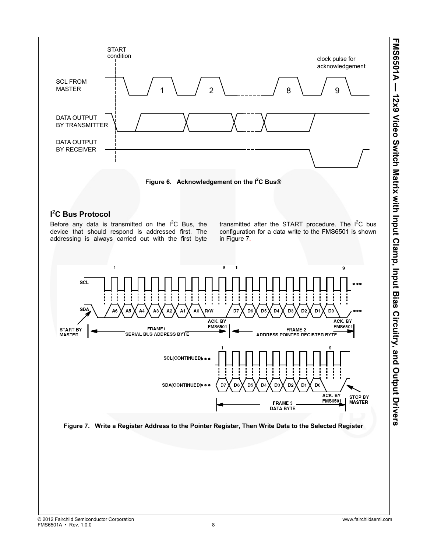

Before any data is transmitted on the  $I^2C$  Bus, the device that should respond is addressed first. The addressing is always carried out with the first byte

transmitted after the START procedure. The  $I^2C$  bus configuration for a data write to the FMS6501 is shown in Figure 7.



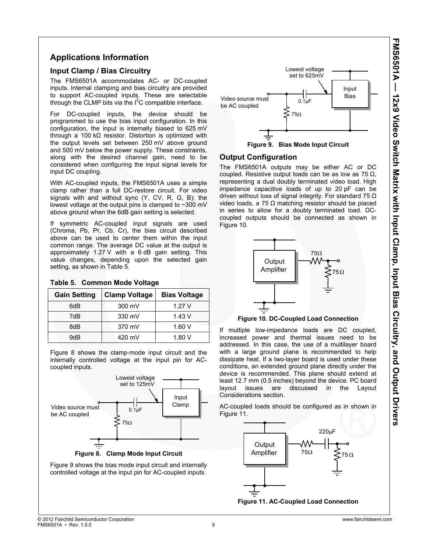### **Applications Information**

#### **Input Clamp / Bias Circuitry**

The FMS6501A accommodates AC- or DC-coupled inputs. Internal clamping and bias circuitry are provided to support AC-coupled inputs. These are selectable through the CLMP bits via the  $I^2C$  compatible interface.

For DC-coupled inputs, the device should be programmed to use the bias input configuration. In this configuration, the input is internally biased to 625 mV through a 100 kΩ resistor. Distortion is optimized with the output levels set between 250 mV above ground and 500 mV below the power supply. These constraints, along with the desired channel gain, need to be considered when configuring the input signal levels for input DC coupling.

With AC-coupled inputs, the FMS6501A uses a simple clamp rather than a full DC-restore circuit. For video signals with and without sync (Y, CV, R, G, B); the lowest voltage at the output pins is clamped to ~300 mV above ground when the 6dB gain setting is selected.

If symmetric AC-coupled input signals are used (Chroma, Pb, Pr, Cb, Cr), the bias circuit described above can be used to center them within the input common range. The average DC value at the output is approximately 1.27 V with a 6 dB gain setting. This value changes, depending upon the selected gain setting, as shown in Table 5.

| <b>Gain Setting</b> | <b>Clamp Voltage</b> | <b>Bias Voltage</b> |
|---------------------|----------------------|---------------------|
| 6dB                 | 300 mV               | 1.27V               |
| 7dB                 | 330 mV               | 1.43V               |
| 8dB                 | 370 mV               | 1.60V               |
| 9dB                 | 420 mV               | 1.80V               |

#### **Table 5. Common Mode Voltage**

Figure 8 shows the clamp-mode input circuit and the internally controlled voltage at the input pin for ACcoupled inputs.



**Figure 8. Clamp Mode Input Circuit** 

Figure 9 shows the bias mode input circuit and internally controlled voltage at the input pin for AC-coupled inputs.



**Figure 9. Bias Mode Input Circuit** 

#### **Output Configuration**

The FMS6501A outputs may be either AC or DC coupled. Resistive output loads can be as low as 75 Ω, representing a dual doubly terminated video load. High impedance capacitive loads of up to 20 pF can be driven without loss of signal integrity. For standard 75 Ω video loads, a 75 Ω matching resistor should be placed in series to allow for a doubly terminated load. DCcoupled outputs should be connected as shown in Figure 10.



#### **Figure 10. DC-Coupled Load Connection**

If multiple low-impedance loads are DC coupled, increased power and thermal issues need to be addressed. In this case, the use of a multilayer board with a large ground plane is recommended to help dissipate heat. If a two-layer board is used under these conditions, an extended ground plane directly under the device is recommended. This plane should extend at least 12.7 mm (0.5 inches) beyond the device. PC board layout issues are discussed in the Layout Considerations section.

AC-coupled loads should be configured as in shown in Figure 11.



**Figure 11. AC-Coupled Load Connection**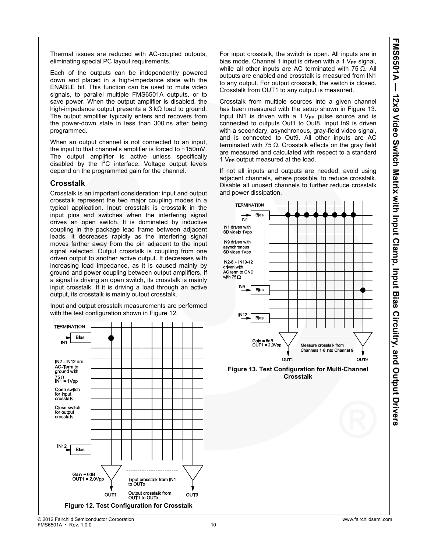Thermal issues are reduced with AC-coupled outputs, eliminating special PC layout requirements.

Each of the outputs can be independently powered down and placed in a high-impedance state with the ENABLE bit. This function can be used to mute video signals, to parallel multiple FMS6501A outputs, or to save power. When the output amplifier is disabled, the high-impedance output presents a 3 kΩ load to ground. The output amplifier typically enters and recovers from the power-down state in less than 300 ns after being programmed.

When an output channel is not connected to an input, the input to that channel's amplifier is forced to ~150mV. The output amplifier is active unless specifically disabled by the  $I^2C$  interface. Voltage output levels depend on the programmed gain for the channel.

#### **Crosstalk**

Crosstalk is an important consideration: input and output crosstalk represent the two major coupling modes in a typical application. Input crosstalk is crosstalk in the input pins and switches when the interfering signal drives an open switch. It is dominated by inductive coupling in the package lead frame between adjacent leads. It decreases rapidly as the interfering signal moves farther away from the pin adjacent to the input signal selected. Output crosstalk is coupling from one driven output to another active output. It decreases with increasing load impedance, as it is caused mainly by ground and power coupling between output amplifiers. If a signal is driving an open switch, its crosstalk is mainly input crosstalk. If it is driving a load through an active output, its crosstalk is mainly output crosstalk.

Input and output crosstalk measurements are performed with the test configuration shown in Figure 12.



For input crosstalk, the switch is open. All inputs are in bias mode. Channel 1 input is driven with a 1  $V_{PP}$  signal, while all other inputs are AC terminated with  $75 \Omega$ . All outputs are enabled and crosstalk is measured from IN1 to any output. For output crosstalk, the switch is closed. Crosstalk from OUT1 to any output is measured.

Crosstalk from multiple sources into a given channel has been measured with the setup shown in Figure 13. Input IN1 is driven with a 1  $V_{PP}$  pulse source and is connected to outputs Out1 to Out8. Input In9 is driven with a secondary, asynchronous, gray-field video signal, and is connected to Out9. All other inputs are AC terminated with 75  $Ω$ . Crosstalk effects on the gray field are measured and calculated with respect to a standard  $1$  V<sub>PP</sub> output measured at the load.

If not all inputs and outputs are needed, avoid using adjacent channels, where possible, to reduce crosstalk. Disable all unused channels to further reduce crosstalk and power dissipation.



**Crosstalk**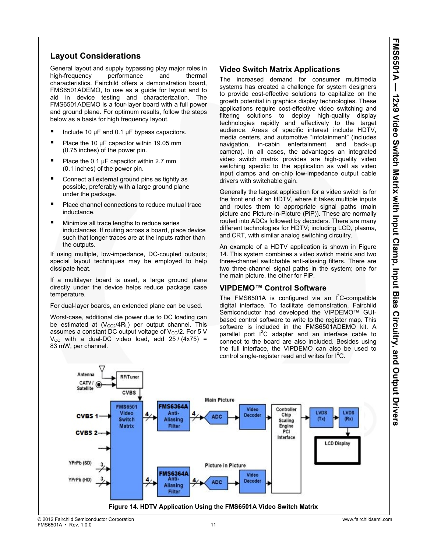### **Layout Considerations**

General layout and supply bypassing play major roles in high-frequency performance and thermal characteristics. Fairchild offers a demonstration board, FMS6501ADEMO, to use as a guide for layout and to aid in device testing and characterization. The FMS6501ADEMO is a four-layer board with a full power and ground plane. For optimum results, follow the steps below as a basis for high frequency layout.

- Include 10 µF and 0.1 µF bypass capacitors.
- Place the 10 µF capacitor within 19.05 mm (0.75 inches) of the power pin.
- Place the 0.1 µF capacitor within 2.7 mm (0.1 inches) of the power pin.
- Connect all external ground pins as tightly as possible, preferably with a large ground plane under the package.
- Place channel connections to reduce mutual trace inductance.
- Minimize all trace lengths to reduce series inductances. If routing across a board, place device such that longer traces are at the inputs rather than the outputs.

If using multiple, low-impedance, DC-coupled outputs; special layout techniques may be employed to help dissipate heat.

If a multilayer board is used, a large ground plane directly under the device helps reduce package case temperature.

For dual-layer boards, an extended plane can be used.

Worst-case, additional die power due to DC loading can be estimated at  $(V_{CC2}/4R_L)$  per output channel. This assumes a constant DC output voltage of  $V_{CC}/2$ . For 5 V  $V_{\text{CC}}$  with a dual-DC video load, add 25 / (4x75) = 83 mW, per channel.

### **Video Switch Matrix Applications**

The increased demand for consumer multimedia systems has created a challenge for system designers to provide cost-effective solutions to capitalize on the growth potential in graphics display technologies. These applications require cost-effective video switching and filtering solutions to deploy high-quality display technologies rapidly and effectively to the target audience. Areas of specific interest include HDTV, media centers, and automotive "infotainment" (includes navigation, in-cabin entertainment, and back-up camera). In all cases, the advantages an integrated video switch matrix provides are high-quality video switching specific to the application as well as video input clamps and on-chip low-impedance output cable drivers with switchable gain.

Generally the largest application for a video switch is for the front end of an HDTV, where it takes multiple inputs and routes them to appropriate signal paths (main picture and Picture-in-Picture (PiP)). These are normally routed into ADCs followed by decoders. There are many different technologies for HDTV; including LCD, plasma, and CRT, with similar analog switching circuitry.

An example of a HDTV application is shown in Figure 14. This system combines a video switch matrix and two three-channel switchable anti-aliasing filters. There are two three-channel signal paths in the system; one for the main picture, the other for PiP.

### **VIPDEMO™ Control Software**

The FMS6501A is configured via an  $I^2C$ -compatible digital interface. To facilitate demonstration, Fairchild Semiconductor had developed the VIPDEMO™ GUIbased control software to write to the register map. This software is included in the FMS6501ADEMO kit. A parallel port  $I^2C$  adapter and an interface cable to connect to the board are also included. Besides using the full interface, the VIPDEMO can also be used to control single-register read and writes for  $I^2C$ .

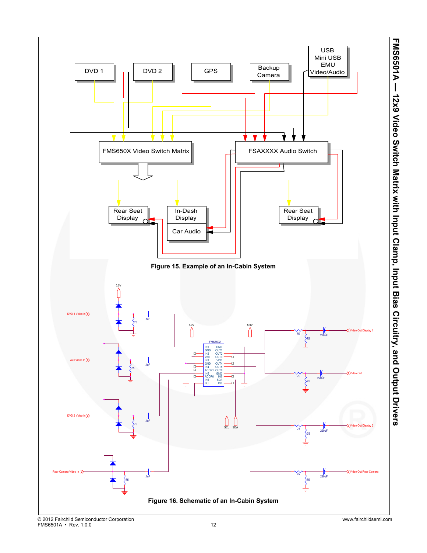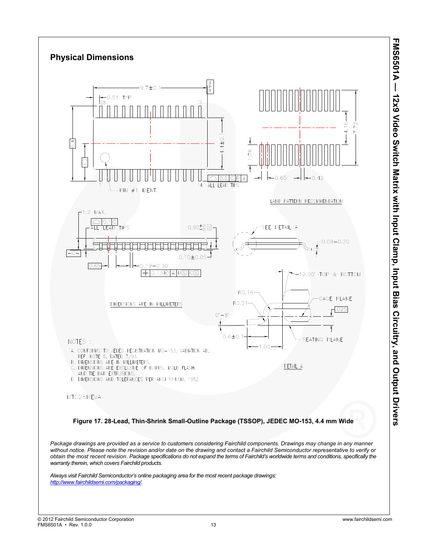